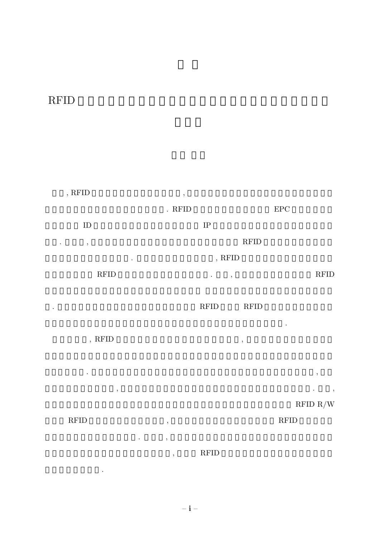## RFID タグ統合規格運用のためのプラットフォーム構成に関す

 $\mathcal{R}$ FID  $\mathcal{R}$  $\rm RFID$   $\rm EPC$  $\text{ID}$  is the property in  $\text{IP}$  $\ldots$  ,  $\qquad$  RFID  $\ldots$ 

 $\blacksquare$ <u>RFID スパットワークを提案された RFID</u>

. <br> <br>  $\begin{array}{llll} \text{RFID} & \text{RFID} \end{array}$ 円滑な通信を実現する機能の不足や実現の困難性を持つ機能が存在している.  $\mathcal{R}$ , RFID  $\mathcal{R}$ ,  $\mathcal{R}$ 

 $\ddotsc$  -  $\ddotsc$  -  $\ddotsc$  -  $\ddotsc$  $\alpha$ 

RFID R/W RFID  $\,$ ,  $\,$  RFID  $\,$ 

 $\cdots$ ,  $\cdots$  $\,$ , RFID  $\,$  $\sim$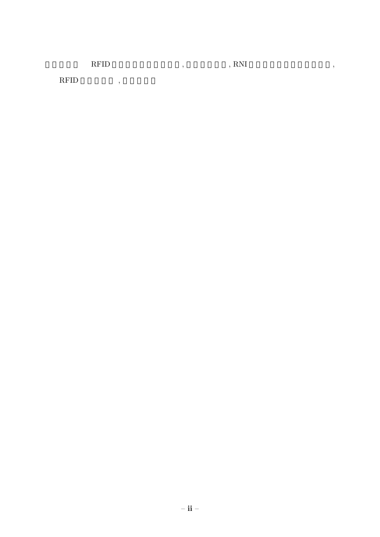$\label{eq:RNI} \quad , \qquad \qquad , \; {\rm RNI}$  $\operatorname{RFID}$ 

 $\overline{\phantom{a}}$ 

 $\operatorname{RFID}$ 

 $\overline{\phantom{a}}$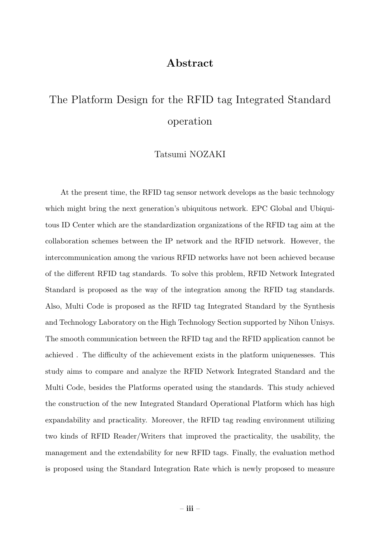## Abstract

## The Platform Design for the RFID tag Integrated Standard operation

## Tatsumi NOZAKI

At the present time, the RFID tag sensor network develops as the basic technology which might bring the next generation's ubiquitous network. EPC Global and Ubiquitous ID Center which are the standardization organizations of the RFID tag aim at the collaboration schemes between the IP network and the RFID network. However, the intercommunication among the various RFID networks have not been achieved because of the different RFID tag standards. To solve this problem, RFID Network Integrated Standard is proposed as the way of the integration among the RFID tag standards. Also, Multi Code is proposed as the RFID tag Integrated Standard by the Synthesis and Technology Laboratory on the High Technology Section supported by Nihon Unisys. The smooth communication between the RFID tag and the RFID application cannot be achieved . The difficulty of the achievement exists in the platform uniquenesses. This study aims to compare and analyze the RFID Network Integrated Standard and the Multi Code, besides the Platforms operated using the standards. This study achieved the construction of the new Integrated Standard Operational Platform which has high expandability and practicality. Moreover, the RFID tag reading environment utilizing two kinds of RFID Reader/Writers that improved the practicality, the usability, the management and the extendability for new RFID tags. Finally, the evaluation method is proposed using the Standard Integration Rate which is newly proposed to measure